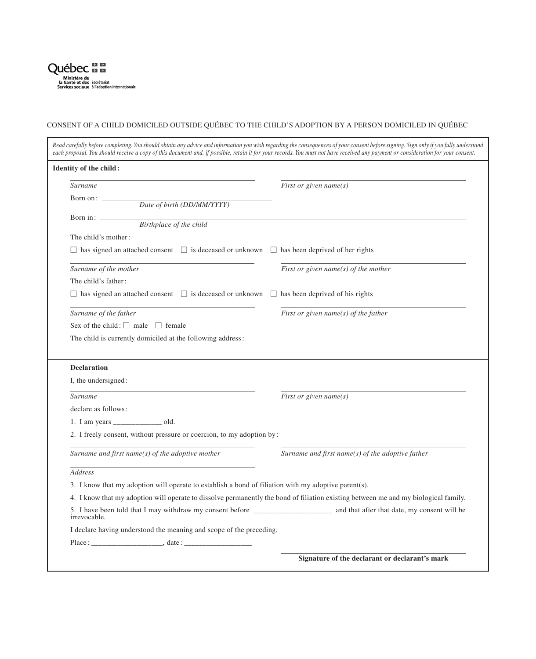

## CONSENT OF A CHILD DOMICILED OUTSIDE QUÉBEC TO THE CHILD'S ADOPTION BY A PERSON DOMICILED IN QUÉBEC

| Read carefully before completing. You should obtain any advice and information you wish regarding the consequences of your consent before signing. Sign only if you fully understand<br>each proposal. You should receive a copy of this document and, if possible, retain it for your records. You must not have received any payment or consideration for your consent. |                                                      |
|---------------------------------------------------------------------------------------------------------------------------------------------------------------------------------------------------------------------------------------------------------------------------------------------------------------------------------------------------------------------------|------------------------------------------------------|
| Identity of the child:                                                                                                                                                                                                                                                                                                                                                    |                                                      |
| Surname                                                                                                                                                                                                                                                                                                                                                                   | First or given name(s)                               |
| Born on: $\qquad \qquad$<br>Date of birth (DD/MM/YYYY)                                                                                                                                                                                                                                                                                                                    |                                                      |
|                                                                                                                                                                                                                                                                                                                                                                           |                                                      |
| Birthplace of the child                                                                                                                                                                                                                                                                                                                                                   |                                                      |
| The child's mother:                                                                                                                                                                                                                                                                                                                                                       |                                                      |
| $\Box$ has signed an attached consent $\Box$ is deceased or unknown $\Box$ has been deprived of her rights                                                                                                                                                                                                                                                                |                                                      |
| Surname of the mother                                                                                                                                                                                                                                                                                                                                                     | First or given name( $s$ ) of the mother             |
| The child's father:                                                                                                                                                                                                                                                                                                                                                       |                                                      |
| $\Box$ has signed an attached consent $\Box$ is deceased or unknown $\Box$ has been deprived of his rights                                                                                                                                                                                                                                                                |                                                      |
| Surname of the father                                                                                                                                                                                                                                                                                                                                                     | First or given name( $s$ ) of the father             |
| Sex of the child: $\Box$ male $\Box$ female                                                                                                                                                                                                                                                                                                                               |                                                      |
|                                                                                                                                                                                                                                                                                                                                                                           |                                                      |
| The child is currently domiciled at the following address:                                                                                                                                                                                                                                                                                                                |                                                      |
| <b>Declaration</b><br>I, the undersigned:                                                                                                                                                                                                                                                                                                                                 |                                                      |
| <b>Surname</b>                                                                                                                                                                                                                                                                                                                                                            | First or given name(s)                               |
| declare as follows:                                                                                                                                                                                                                                                                                                                                                       |                                                      |
| 1. I am years __________________ old.                                                                                                                                                                                                                                                                                                                                     |                                                      |
| 2. I freely consent, without pressure or coercion, to my adoption by:                                                                                                                                                                                                                                                                                                     |                                                      |
| Surname and first name( $s$ ) of the adoptive mother                                                                                                                                                                                                                                                                                                                      | Surname and first name( $s$ ) of the adoptive father |
| <b>Address</b>                                                                                                                                                                                                                                                                                                                                                            |                                                      |
| 3. I know that my adoption will operate to establish a bond of filiation with my adoptive parent(s).                                                                                                                                                                                                                                                                      |                                                      |
| 4. I know that my adoption will operate to dissolve permanently the bond of filiation existing between me and my biological family.                                                                                                                                                                                                                                       |                                                      |
| irrevocable.                                                                                                                                                                                                                                                                                                                                                              |                                                      |
| I declare having understood the meaning and scope of the preceding.                                                                                                                                                                                                                                                                                                       |                                                      |